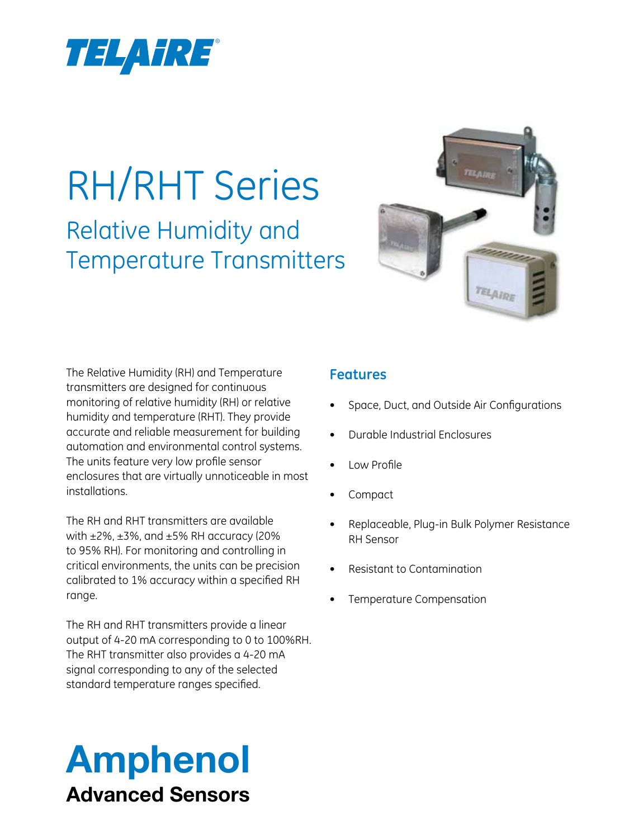

# RH/RHT Series

Relative Humidity and Temperature Transmitters



The Relative Humidity (RH) and Temperature transmitters are designed for continuous monitoring of relative humidity (RH) or relative humidity and temperature (RHT). They provide accurate and reliable measurement for building automation and environmental control systems. The units feature very low profile sensor enclosures that are virtually unnoticeable in most installations.

The RH and RHT transmitters are available with  $\pm$ 2%,  $\pm$ 3%, and  $\pm$ 5% RH accuracy (20% to 95% RH). For monitoring and controlling in critical environments, the units can be precision calibrated to 1% accuracy within a specified RH range.

The RH and RHT transmitters provide a linear output of 4-20 mA corresponding to 0 to 100%RH. The RHT transmitter also provides a 4-20 mA signal corresponding to any of the selected standard temperature ranges specified.

## Amphenol Advanced Sensors

### **Features**

- Space, Duct, and Outside Air Configurations
- Durable Industrial Enclosures
- **Low Profile**
- **Compact**
- Replaceable, Plug-in Bulk Polymer Resistance RH Sensor
- Resistant to Contamination
- Temperature Compensation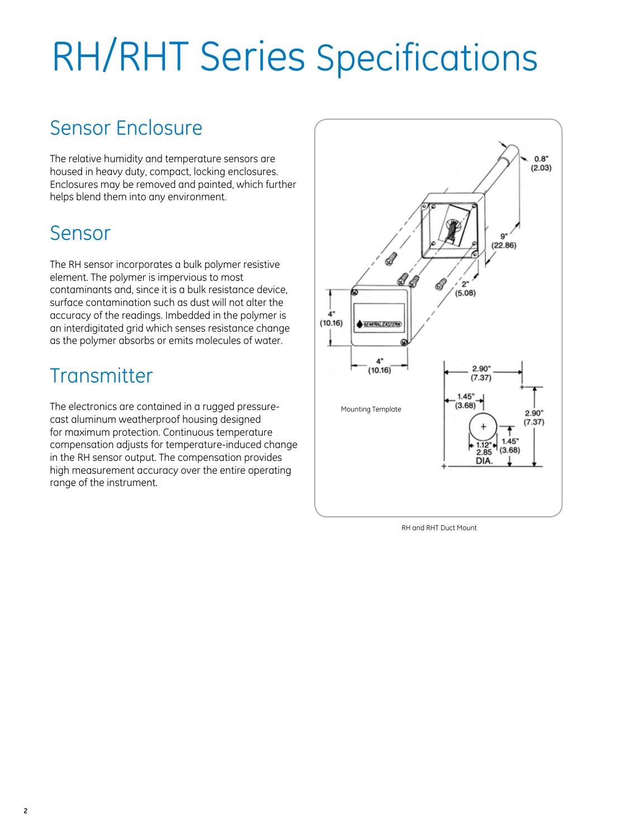## Sensor Enclosure

The relative humidity and temperature sensors are housed in heavy duty, compact, locking enclosures. Enclosures may be removed and painted, which further helps blend them into any environment.

## Sensor

The RH sensor incorporates a bulk polymer resistive element. The polymer is impervious to most contaminants and, since it is a bulk resistance device, surface contamination such as dust will not alter the accuracy of the readings. Imbedded in the polymer is an interdigitated grid which senses resistance change as the polymer absorbs or emits molecules of water.

## **Transmitter**

The electronics are contained in a rugged pressurecast aluminum weatherproof housing designed for maximum protection. Continuous temperature compensation adjusts for temperature-induced change in the RH sensor output. The compensation provides high measurement accuracy over the entire operating range of the instrument.



RH and RHT Duct Mount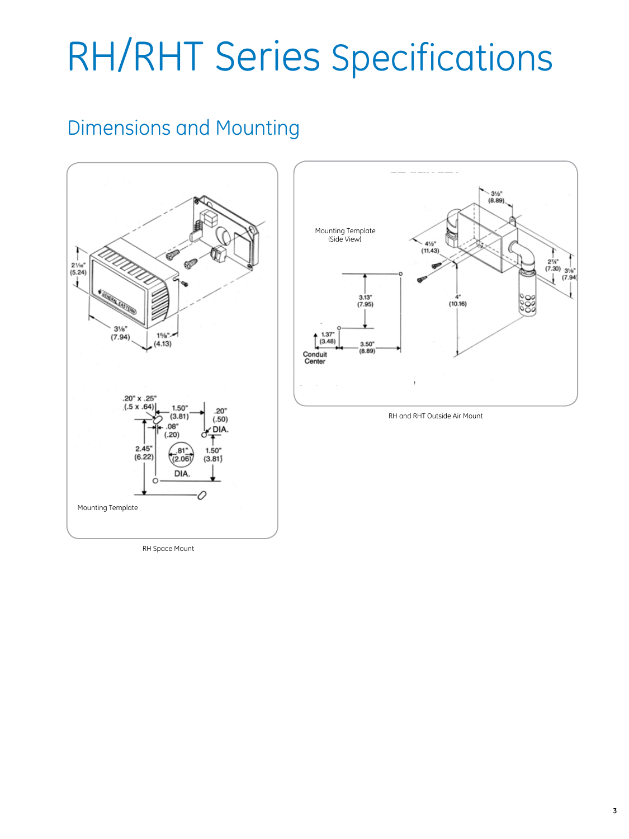## Dimensions and Mounting



RH Space Mount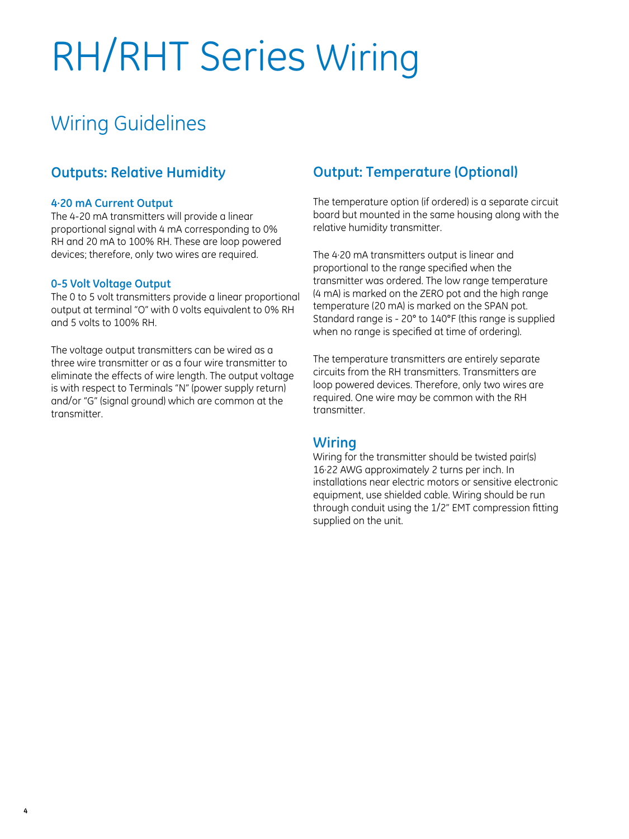# RH/RHT Series Wiring

## Wiring Guidelines

### **Outputs: Relative Humidity**

#### **4·20 mA Current Output**

The 4-20 mA transmitters will provide a linear proportional signal with 4 mA corresponding to 0% RH and 20 mA to 100% RH. These are loop powered devices; therefore, only two wires are required.

#### **0-5 Volt Voltage Output**

The 0 to 5 volt transmitters provide a linear proportional output at terminal "O" with 0 volts equivalent to 0% RH and 5 volts to 100% RH.

The voltage output transmitters can be wired as a three wire transmitter or as a four wire transmitter to eliminate the effects of wire length. The output voltage is with respect to Terminals "N" (power supply return) and/or "G" (signal ground) which are common at the transmitter.

### **Output: Temperature (Optional)**

The temperature option (if ordered) is a separate circuit board but mounted in the same housing along with the relative humidity transmitter.

The 4·20 mA transmitters output is linear and proportional to the range specified when the transmitter was ordered. The low range temperature (4 mA) is marked on the ZERO pot and the high range temperature (20 mA) is marked on the SPAN pot. Standard range is - 20° to 140°F (this range is supplied when no range is specified at time of ordering).

The temperature transmitters are entirely separate circuits from the RH transmitters. Transmitters are loop powered devices. Therefore, only two wires are required. One wire may be common with the RH transmitter.

#### **Wiring**

Wiring for the transmitter should be twisted pair(s) 16·22 AWG approximately 2 turns per inch. In installations near electric motors or sensitive electronic equipment, use shielded cable. Wiring should be run through conduit using the 1/2" EMT compression fitting supplied on the unit.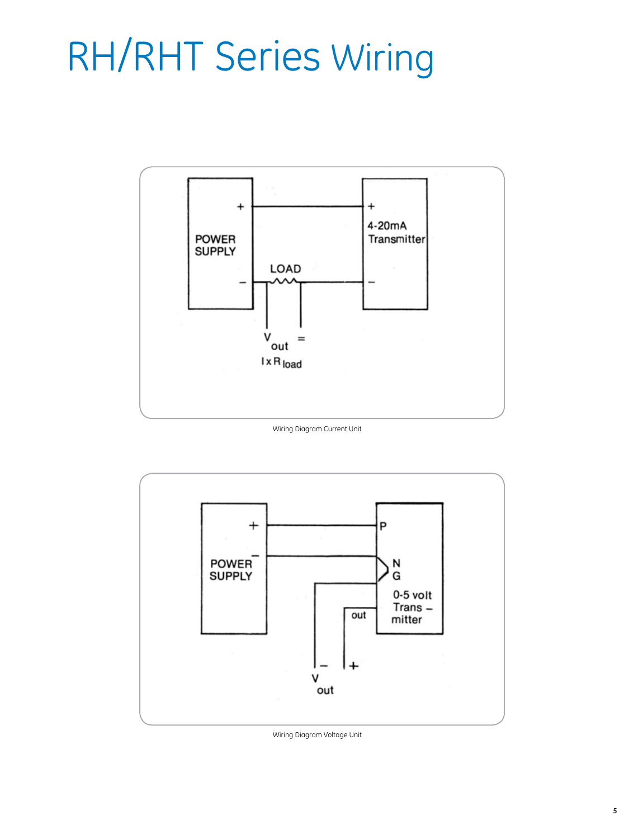# RH/RHT Series Wiring



Wiring Diagram Current Unit



Wiring Diagram Voltage Unit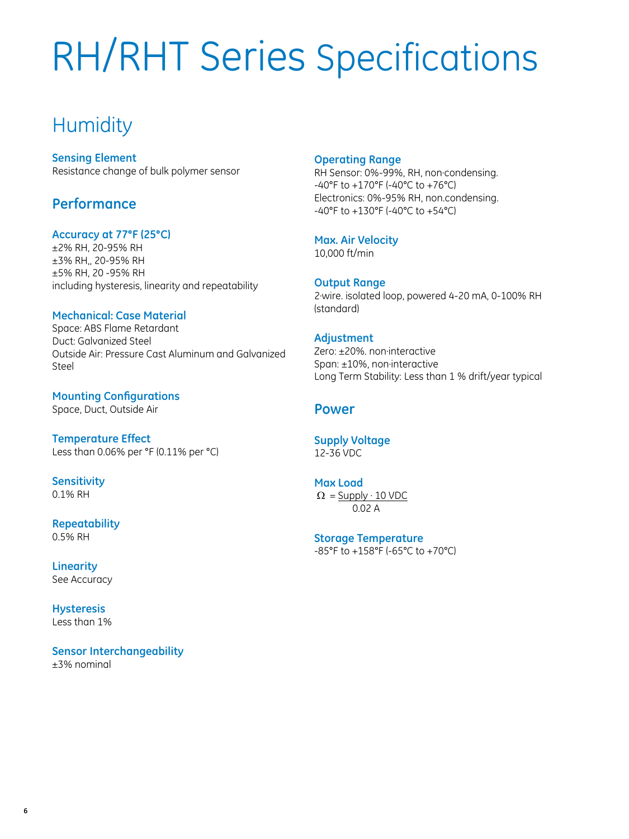## **Humidity**

**Sensing Element** Resistance change of bulk polymer sensor

### **Performance**

#### **Accuracy at 77°F (25°C)**

±2% RH, 20-95% RH ±3% RH,, 20-95% RH ±5% RH, 20 -95% RH including hysteresis, linearity and repeatability

#### **Mechanical: Case Material**

Space: ABS Flame Retardant Duct: Galvanized Steel Outside Air: Pressure Cast Aluminum and Galvanized Steel

**Mounting Configurations** Space, Duct, Outside Air

**Temperature Effect** Less than 0.06% per °F (0.11% per °C)

**Sensitivity** 0.1% RH

**Repeatability** 0.5% RH

**Linearity** See Accuracy

**Hysteresis** Less than 1%

**Sensor Interchangeability** ±3% nominal

#### **Operating Range**

RH Sensor: 0%-99%, RH, non·condensing. -40°F to +170°F (-40°C to +76°C) Electronics: 0%-95% RH, non.condensing. -40°F to +130°F (-40°C to +54°C)

#### **Max. Air Velocity**

10,000 ft/min

**Output Range** 2·wire. isolated loop, powered 4-20 mA, 0-100% RH (standard)

#### **Adjustment**

Zero: ±20%. non·interactive Span: ±10%, non·interactive Long Term Stability: Less than 1 % drift/year typical

#### **Power**

**Supply Voltage**  12-36 VDC

**Max Load**  $\Omega$  = Supply  $\cdot$  10 VDC 0.02 A

**Storage Temperature** -85°F to +158°F (-65°C to +70°C)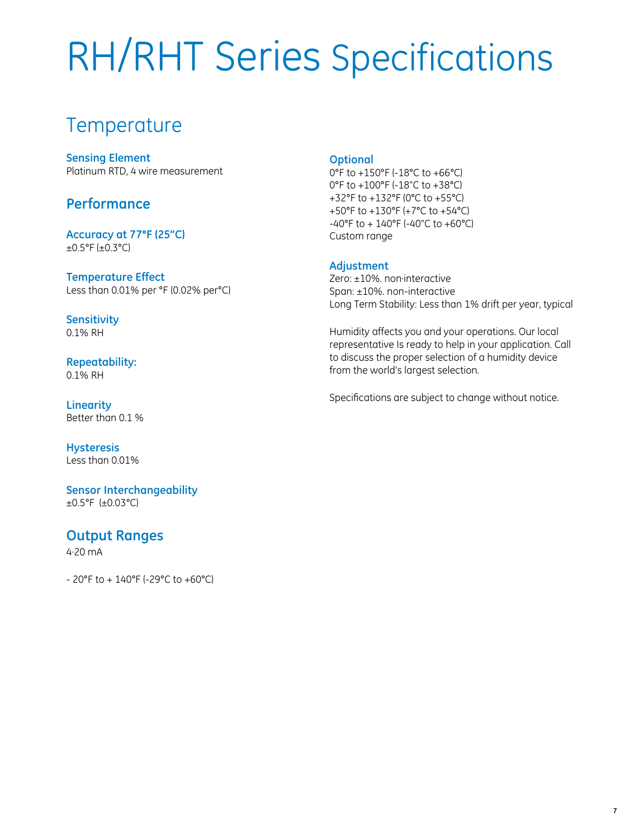## **Temperature**

**Sensing Element** Platinum RTD, 4 wire measurement

### **Performance**

**Accuracy at 77°F (25"C)**  $±0.5$ °F ( $±0.3$ °C)

**Temperature Effect** Less than 0.01% per °F (0.02% per°C)

**Sensitivity** 0.1% RH

**Repeatability:** 0.1% RH

**Linearity** Better than 0.1 %

**Hysteresis** Less than 0.01%

**Sensor Interchangeability** ±0.5°F (±0.03°C)

### **Output Ranges**

4·20 mA

- 20°F to + 140°F (-29°C to +60°C)

#### **Optional**

0°F to +150°F (-18°C to +66°C) 0°F to +100°F (-18"C to +38°C) +32°F to +132°F (0°C to +55°C) +50°F to +130°F (+7°C to +54°C) -40°F to + 140°F (-40"C to +60°C) Custom range

#### **Adjustment**

Zero: ±10%. non·interactive Span: ±10%. non-interactive Long Term Stability: Less than 1% drift per year, typical

Humidity affects you and your operations. Our local representative Is ready to help in your application. Call to discuss the proper selection of a humidity device from the world's largest selection.

Specifications are subject to change without notice.